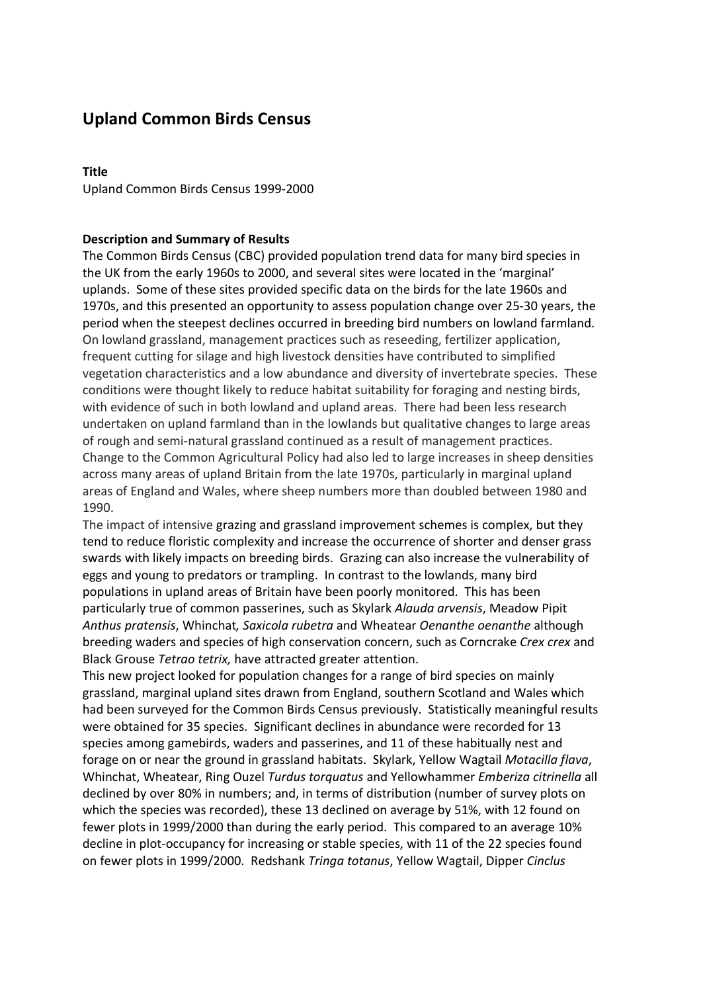# **Upland Common Birds Census**

#### **Title**

Upland Common Birds Census 1999-2000

#### **Description and Summary of Results**

The Common Birds Census (CBC) provided population trend data for many bird species in the UK from the early 1960s to 2000, and several sites were located in the 'marginal' uplands. Some of these sites provided specific data on the birds for the late 1960s and 1970s, and this presented an opportunity to assess population change over 25-30 years, the period when the steepest declines occurred in breeding bird numbers on lowland farmland. On lowland grassland, management practices such as reseeding, fertilizer application, frequent cutting for silage and high livestock densities have contributed to simplified vegetation characteristics and a low abundance and diversity of invertebrate species. These conditions were thought likely to reduce habitat suitability for foraging and nesting birds, with evidence of such in both lowland and upland areas. There had been less research undertaken on upland farmland than in the lowlands but qualitative changes to large areas of rough and semi-natural grassland continued as a result of management practices. Change to the Common Agricultural Policy had also led to large increases in sheep densities across many areas of upland Britain from the late 1970s, particularly in marginal upland areas of England and Wales, where sheep numbers more than doubled between 1980 and 1990.

The impact of intensive grazing and grassland improvement schemes is complex, but they tend to reduce floristic complexity and increase the occurrence of shorter and denser grass swards with likely impacts on breeding birds. Grazing can also increase the vulnerability of eggs and young to predators or trampling. In contrast to the lowlands, many bird populations in upland areas of Britain have been poorly monitored. This has been particularly true of common passerines, such as Skylark *Alauda arvensis*, Meadow Pipit *Anthus pratensis*, Whinchat*, Saxicola rubetra* and Wheatear *Oenanthe oenanthe* although breeding waders and species of high conservation concern, such as Corncrake *Crex crex* and Black Grouse *Tetrao tetrix,* have attracted greater attention.

This new project looked for population changes for a range of bird species on mainly grassland, marginal upland sites drawn from England, southern Scotland and Wales which had been surveyed for the Common Birds Census previously. Statistically meaningful results were obtained for 35 species. Significant declines in abundance were recorded for 13 species among gamebirds, waders and passerines, and 11 of these habitually nest and forage on or near the ground in grassland habitats. Skylark, Yellow Wagtail *Motacilla flava*, Whinchat, Wheatear, Ring Ouzel *Turdus torquatus* and Yellowhammer *Emberiza citrinella* all declined by over 80% in numbers; and, in terms of distribution (number of survey plots on which the species was recorded), these 13 declined on average by 51%, with 12 found on fewer plots in 1999/2000 than during the early period. This compared to an average 10% decline in plot-occupancy for increasing or stable species, with 11 of the 22 species found on fewer plots in 1999/2000. Redshank *Tringa totanus*, Yellow Wagtail, Dipper *Cinclus*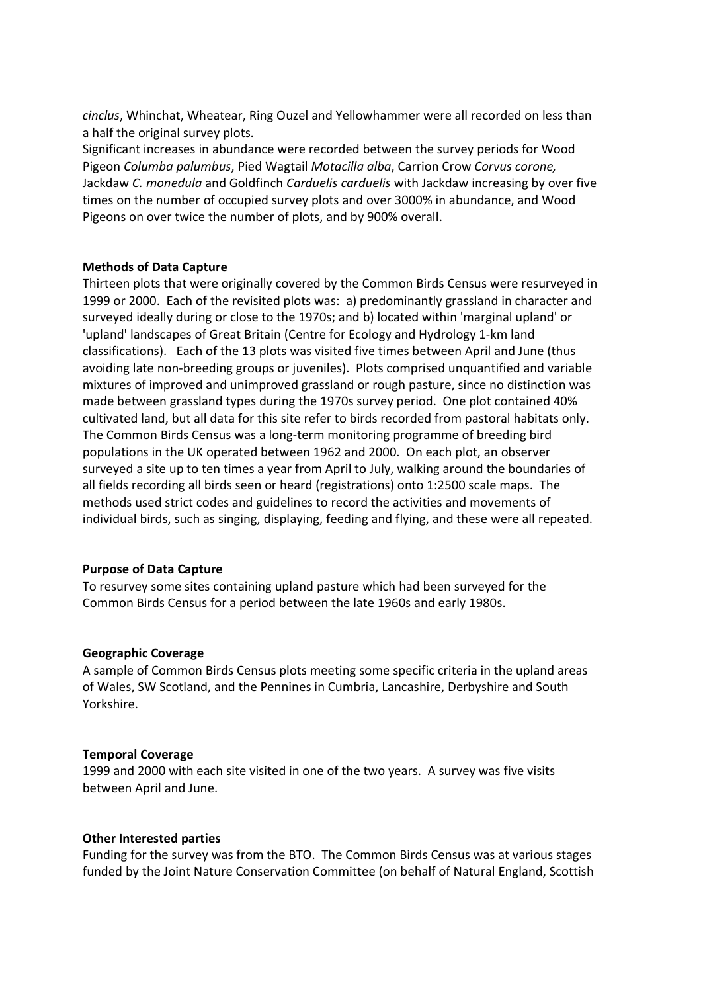*cinclus*, Whinchat, Wheatear, Ring Ouzel and Yellowhammer were all recorded on less than a half the original survey plots.

Significant increases in abundance were recorded between the survey periods for Wood Pigeon *Columba palumbus*, Pied Wagtail *Motacilla alba*, Carrion Crow *Corvus corone,*  Jackdaw *C. monedula* and Goldfinch *Carduelis carduelis* with Jackdaw increasing by over five times on the number of occupied survey plots and over 3000% in abundance, and Wood Pigeons on over twice the number of plots, and by 900% overall.

#### **Methods of Data Capture**

Thirteen plots that were originally covered by the Common Birds Census were resurveyed in 1999 or 2000. Each of the revisited plots was: a) predominantly grassland in character and surveyed ideally during or close to the 1970s; and b) located within 'marginal upland' or 'upland' landscapes of Great Britain (Centre for Ecology and Hydrology 1-km land classifications). Each of the 13 plots was visited five times between April and June (thus avoiding late non-breeding groups or juveniles). Plots comprised unquantified and variable mixtures of improved and unimproved grassland or rough pasture, since no distinction was made between grassland types during the 1970s survey period. One plot contained 40% cultivated land, but all data for this site refer to birds recorded from pastoral habitats only. The Common Birds Census was a long-term monitoring programme of breeding bird populations in the UK operated between 1962 and 2000. On each plot, an observer surveyed a site up to ten times a year from April to July, walking around the boundaries of all fields recording all birds seen or heard (registrations) onto 1:2500 scale maps. The methods used strict codes and guidelines to record the activities and movements of individual birds, such as singing, displaying, feeding and flying, and these were all repeated.

#### **Purpose of Data Capture**

To resurvey some sites containing upland pasture which had been surveyed for the Common Birds Census for a period between the late 1960s and early 1980s.

#### **Geographic Coverage**

A sample of Common Birds Census plots meeting some specific criteria in the upland areas of Wales, SW Scotland, and the Pennines in Cumbria, Lancashire, Derbyshire and South Yorkshire.

#### **Temporal Coverage**

1999 and 2000 with each site visited in one of the two years. A survey was five visits between April and June.

#### **Other Interested parties**

Funding for the survey was from the BTO. The Common Birds Census was at various stages funded by the Joint Nature Conservation Committee (on behalf of Natural England, Scottish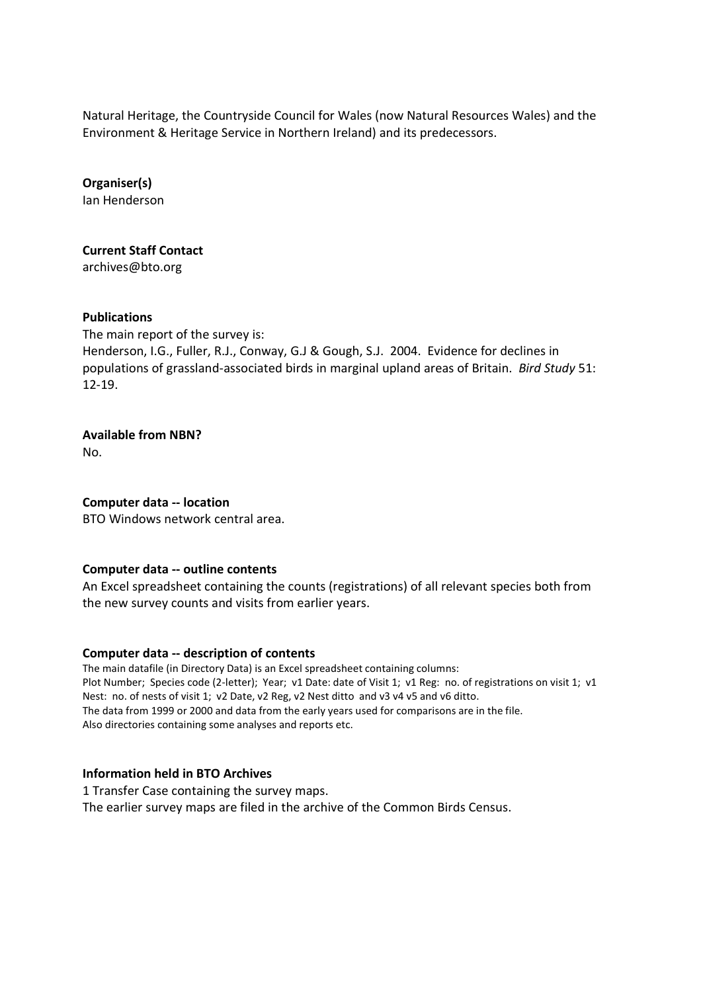Natural Heritage, the Countryside Council for Wales (now Natural Resources Wales) and the Environment & Heritage Service in Northern Ireland) and its predecessors.

**Organiser(s)** Ian Henderson

**Current Staff Contact**  archives@bto.org

#### **Publications**

The main report of the survey is: Henderson, I.G., Fuller, R.J., Conway, G.J & Gough, S.J. 2004. Evidence for declines in populations of grassland-associated birds in marginal upland areas of Britain. *Bird Study* 51: 12-19.

**Available from NBN?**

No.

## **Computer data -- location**

BTO Windows network central area.

## **Computer data -- outline contents**

An Excel spreadsheet containing the counts (registrations) of all relevant species both from the new survey counts and visits from earlier years.

## **Computer data -- description of contents**

The main datafile (in Directory Data) is an Excel spreadsheet containing columns: Plot Number; Species code (2-letter); Year; v1 Date: date of Visit 1; v1 Reg: no. of registrations on visit 1; v1 Nest: no. of nests of visit 1; v2 Date, v2 Reg, v2 Nest ditto and v3 v4 v5 and v6 ditto. The data from 1999 or 2000 and data from the early years used for comparisons are in the file. Also directories containing some analyses and reports etc.

## **Information held in BTO Archives**

1 Transfer Case containing the survey maps. The earlier survey maps are filed in the archive of the Common Birds Census.